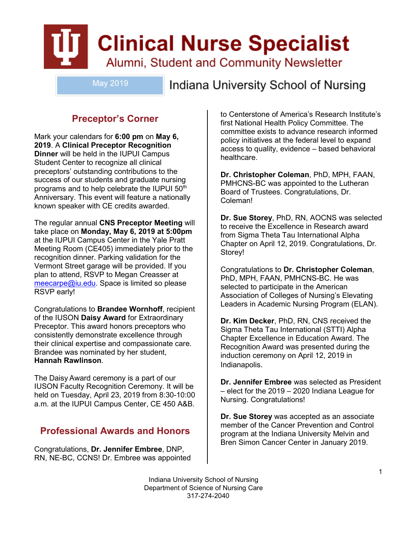# **Clinical Nurse Specialist** Alumni, Student and Community Newsletter

May 2019

Indiana University School of Nursing

## **Preceptor's Corner**

Mark your calendars for **6:00 pm** on **May 6, 2019**. A **Clinical Preceptor Recognition Dinner** will be held in the IUPUI Campus Student Center to recognize all clinical preceptors' outstanding contributions to the success of our students and graduate nursing programs and to help celebrate the IUPUI 50<sup>th</sup> Anniversary. This event will feature a nationally known speaker with CE credits awarded.

The regular annual **CNS Preceptor Meeting** will take place on **Monday, May 6, 2019 at 5:00pm**  at the IUPUI Campus Center in the Yale Pratt Meeting Room (CE405) immediately prior to the recognition dinner. Parking validation for the Vermont Street garage will be provided. If you plan to attend, RSVP to Megan Creasser at [meecarpe@iu.edu.](mailto:meecarpe@iu.edu) Space is limited so please RSVP early!

Congratulations to **Brandee Wornhoff**, recipient of the IUSON **Daisy Award** for Extraordinary Preceptor. This award honors preceptors who consistently demonstrate excellence through their clinical expertise and compassionate care. Brandee was nominated by her student, **Hannah Rawlinson**.

The Daisy Award ceremony is a part of our IUSON Faculty Recognition Ceremony. It will be held on Tuesday, April 23, 2019 from 8:30-10:00 a.m. at the IUPUI Campus Center, CE 450 A&B. 

## **Professional Awards and Honors**

Congratulations, **Dr. Jennifer Embree**, DNP, RN, NE-BC, CCNS! Dr. Embree was appointed to Centerstone of America's Research Institute's first National Health Policy Committee. The committee exists to advance research informed policy initiatives at the federal level to expand access to quality, evidence – based behavioral healthcare.

**Dr. Christopher Coleman**, PhD, MPH, FAAN, PMHCNS-BC was appointed to the Lutheran Board of Trustees. Congratulations, Dr. Coleman!

**Dr. Sue Storey**, PhD, RN, AOCNS was selected to receive the Excellence in Research award from Sigma Theta Tau International Alpha Chapter on April 12, 2019. Congratulations, Dr. Storey!

Congratulations to **Dr. Christopher Coleman**, PhD, MPH, FAAN, PMHCNS-BC. He was selected to participate in the American Association of Colleges of Nursing's Elevating Leaders in Academic Nursing Program (ELAN).

**Dr. Kim Decker**, PhD, RN, CNS received the Sigma Theta Tau International (STTI) Alpha Chapter Excellence in Education Award. The Recognition Award was presented during the induction ceremony on April 12, 2019 in Indianapolis.

**Dr. Jennifer Embree** was selected as President – elect for the 2019 – 2020 Indiana League for Nursing. Congratulations!

**Dr. Sue Storey** was accepted as an associate member of the Cancer Prevention and Control program at the Indiana University Melvin and Bren Simon Cancer Center in January 2019.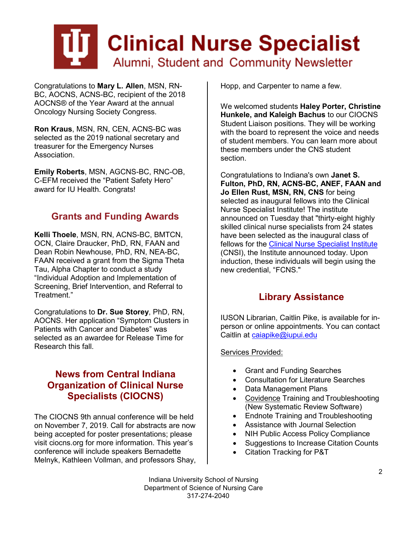

Congratulations to **Mary L. Allen**, MSN, RN-BC, AOCNS, ACNS-BC, recipient of the 2018 AOCNS® of the Year Award at the annual Oncology Nursing Society Congress.

**Ron Kraus**, MSN, RN, CEN, ACNS-BC was selected as the 2019 national secretary and treasurer for the Emergency Nurses Association.

**Emily Roberts**, MSN, AGCNS-BC, RNC-OB, C-EFM received the "Patient Safety Hero" award for IU Health. Congrats!

### **Grants and Funding Awards**

**Kelli Thoele**, MSN, RN, ACNS-BC, BMTCN, OCN, Claire Draucker, PhD, RN, FAAN and Dean Robin Newhouse, PhD, RN, NEA-BC, FAAN received a grant from the Sigma Theta Tau, Alpha Chapter to conduct a study "Individual Adoption and Implementation of Screening, Brief Intervention, and Referral to Treatment."

Congratulations to **Dr. Sue Storey**, PhD, RN, AOCNS. Her application "Symptom Clusters in Patients with Cancer and Diabetes" was selected as an awardee for Release Time for Research this fall.

#### **News from Central Indiana Organization of Clinical Nurse Specialists (CIOCNS)**

The CIOCNS 9th annual conference will be held on November 7, 2019. Call for abstracts are now being accepted for poster presentations; please visit ciocns.org for more information. This year's conference will include speakers Bernadette Melnyk, Kathleen Vollman, and professors Shay, Hopp, and Carpenter to name a few.

We welcomed students **Haley Porter, Christine Hunkele, and Kaleigh Bachus** to our CIOCNS Student Liaison positions. They will be working with the board to represent the voice and needs of student members. You can learn more about these members under the CNS student section.

Congratulations to Indiana's own **Janet S. Fulton, PhD, RN, ACNS-BC, ANEF, FAAN and Jo Ellen Rust, MSN, RN, CNS** for being selected as inaugural fellows into the Clinical Nurse Specialist Institute! The institute announced on Tuesday that "thirty-eight highly skilled clinical nurse specialists from 24 states have been selected as the inaugural class of fellows for the [Clinical Nurse Specialist Institute](http://r20.rs6.net/tn.jsp?f=001YLsm487MCVBqvWwVajH-sBzEQfc6KaOX5unMw4sDXXNUQabGK8k2ymwvaG1zGFQ1RX4nn3n3I7LTWzbfVMgJR13mBvXm5V39xtCHOZVmOJ-OvADTaCK6nteMpLTZNq88nO4iHUJTe9f5fpcSOLd00-arTiDUU436&c=FPn9oUTMLrBrh9-qPMnqHnRAKtoyvkV-AZE51c2woCYkuZbuVMbwsg%3D%3D&ch=ENzjJtweH0YuirkhbB2eZ2R3qRCpHDmy0_G9GhtjK9EnWOtLOKMPAQ%3D%3D) (CNSI), the Institute announced today. Upon induction, these individuals will begin using the new credential, "FCNS."

#### **Library Assistance**

IUSON Librarian, Caitlin Pike, is available for inperson or online appointments. You can contact Caitlin at [caiapike@iupui.edu](mailto:caiapike@iupui.edu)

Services Provided:

- Grant and Funding Searches
- Consultation for Literature Searches
- Data Management Plans
- Covidence Training and Troubleshooting (New Systematic Review Software)
- Endnote Training and Troubleshooting
- Assistance with Journal Selection
- NIH Public Access Policy Compliance
- Suggestions to Increase Citation Counts
- Citation Tracking for P&T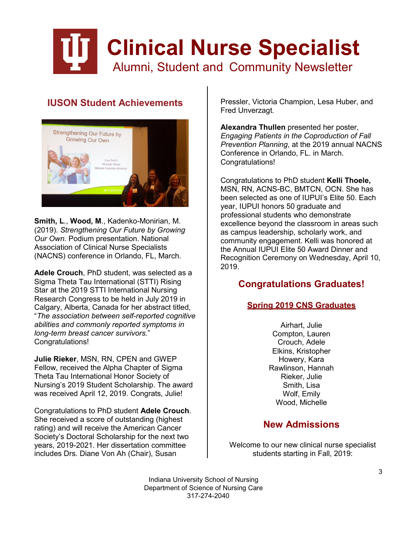## **Clinical Nurse Specialist** Alumni, Student and Community Newsletter

## **IUSON Student Achievements**



**Smith, L**., **Wood, M**., Kadenko-Monirian, M. (2019). *Strengthening Our Future by Growing Our Own*. Podium presentation. National Association of Clinical Nurse Specialists (NACNS) conference in Orlando, FL, March.

**Adele Crouch**, PhD student, was selected as a Sigma Theta Tau International (STTI) Rising Star at the 2019 STTI International Nursing Research Congress to be held in July 2019 in Calgary, Alberta, Canada for her abstract titled, "*The association between self-reported cognitive abilities and commonly reported symptoms in long-term breast cancer survivors*." Congratulations!

**Julie Rieker**, MSN, RN, CPEN and GWEP Fellow, received the Alpha Chapter of Sigma Theta Tau International Honor Society of Nursing's 2019 Student Scholarship. The award was received April 12, 2019. Congrats, Julie!

Congratulations to PhD student **Adele Crouch**. She received a score of outstanding (highest rating) and will receive the American Cancer Society's Doctoral Scholarship for the next two years, 2019-2021. Her dissertation committee includes Drs. Diane Von Ah (Chair), Susan

Pressler, Victoria Champion, Lesa Huber, and Fred Unverzagt.

**Alexandra Thullen** presented her poster, *Engaging Patients in the Coproduction of Fall Prevention Planning*, at the 2019 annual NACNS Conference in Orlando, FL. in March. Congratulations!

Congratulations to PhD student **Kelli Thoele,** MSN, RN, ACNS-BC, BMTCN, OCN. She has been selected as one of IUPUI's Elite 50. Each year, IUPUI honors 50 graduate and professional students who demonstrate excellence beyond the classroom in areas such as campus leadership, scholarly work, and community engagement. Kelli was honored at the Annual IUPUI Elite 50 Award Dinner and Recognition Ceremony on Wednesday, April 10, 2019.

#### **Congratulations Graduates!**

#### **Spring 2019 CNS Graduates**

Airhart, Julie Compton, Lauren Crouch, Adele Elkins, Kristopher Howery, Kara Rawlinson, Hannah Rieker, Julie Smith, Lisa Wolf, Emily Wood, Michelle

### **New Admissions**

Welcome to our new clinical nurse specialist students starting in Fall, 2019: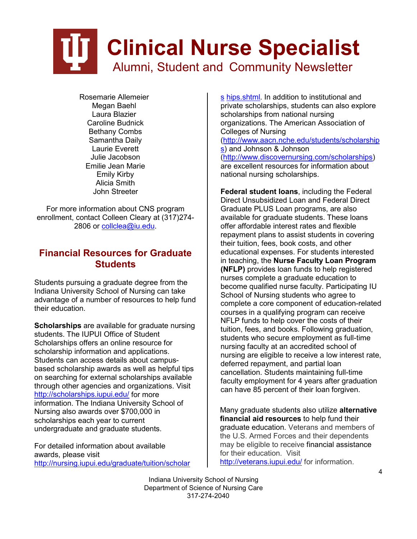## **Clinical Nurse Specialist** Alumni, Student and Community Newsletter

Rosemarie Allemeier Megan Baehl Laura Blazier Caroline Budnick Bethany Combs Samantha Daily Laurie Everett Julie Jacobson Emilie Jean Marie Emily Kirby Alicia Smith John Streeter

For more information about CNS program enrollment, contact Colleen Cleary at (317)274- 2806 or [collclea@iu.edu.](mailto:collclea@iu.edu)

#### **Financial Resources for Graduate Students**

Students pursuing a graduate degree from the Indiana University School of Nursing can take advantage of a number of resources to help fund their education.

**Scholarships** are available for graduate nursing students. The IUPUI Office of Student Scholarships offers an online resource for scholarship information and applications. Students can access details about campusbased scholarship awards as well as helpful tips on searching for external scholarships available through other agencies and organizations. Visit <http://scholarships.iupui.edu/> for more information. The Indiana University School of Nursing also awards over \$700,000 in scholarships each year to current undergraduate and graduate students.

For detailed information about available awards, please visit [http://nursing.iupui.edu/graduate/tuition/scholar](http://nursing.iupui.edu/graduate/tuition/scholarships.shtml)

[s](http://nursing.iupui.edu/graduate/tuition/scholarships.shtml) [hips.shtml.](http://nursing.iupui.edu/graduate/tuition/scholarships.shtml) In addition to institutional and private scholarships, students can also explore scholarships from national nursing organizations. The American Association of Colleges of Nursing [\(http://www.aacn.nche.edu/students/scholarship](http://www.aacn.nche.edu/students/scholarships) [s\)](http://www.aacn.nche.edu/students/scholarships) and Johnson & Johnson [\(http://www.discovernursing.com/scholarships\)](http://www.discovernursing.com/scholarships) are excellent resources for information about national nursing scholarships.

**Federal student loans**, including the Federal Direct Unsubsidized Loan and Federal Direct Graduate PLUS Loan programs, are also available for graduate students. These loans offer affordable interest rates and flexible repayment plans to assist students in covering their tuition, fees, book costs, and other educational expenses. For students interested in teaching, the **Nurse Faculty Loan Program (NFLP)** provides loan funds to help registered nurses complete a graduate education to become qualified nurse faculty. Participating IU School of Nursing students who agree to complete a core component of education-related courses in a qualifying program can receive NFLP funds to help cover the costs of their tuition, fees, and books. Following graduation, students who secure employment as full-time nursing faculty at an accredited school of nursing are eligible to receive a low interest rate, deferred repayment, and partial loan cancellation. Students maintaining full-time faculty employment for 4 years after graduation can have 85 percent of their loan forgiven.

Many graduate students also utilize **alternative financial aid resources** to help fund their graduate education. Veterans and members of the U.S. Armed Forces and their dependents may be eligible to receive financial assistance for their education. Visit <http://veterans.iupui.edu/> for information.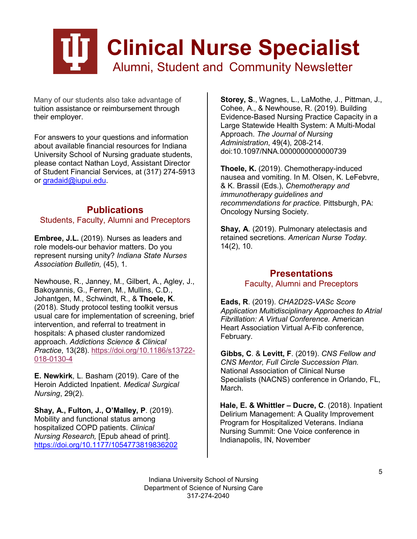

Many of our students also take advantage of tuition assistance or reimbursement through their employer.

For answers to your questions and information about available financial resources for Indiana University School of Nursing graduate students, please contact Nathan Loyd, Assistant Director of Student Financial Services, at (317) 274-5913 or [gradaid@iupui.edu.](mailto:gradaid@iupui.edu)

#### **Publications** Students, Faculty, Alumni and Preceptors

**Embree, J.L.** (2019). Nurses as leaders and role models-our behavior matters. Do you represent nursing unity? *Indiana State Nurses Association Bulletin,* (45), 1.

Newhouse, R., Janney, M., Gilbert, A., Agley, J., Bakoyannis, G., Ferren, M., Mullins, C.D., Johantgen, M., Schwindt, R., & **Thoele, K**. (2018). Study protocol testing toolkit versus usual care for implementation of screening, brief intervention, and referral to treatment in hospitals: A phased cluster randomized approach. *Addictions Science & Clinical Practice*, 13(28). [https://doi.org/10.1186/s13722-](https://doi.org/10.1186/s13722-018-0130-4) [018-0130-4](https://doi.org/10.1186/s13722-018-0130-4)

**E. Newkirk**, L. Basham (2019). Care of the Heroin Addicted Inpatient. *Medical Surgical Nursing*, 29(2).

**Shay, A., Fulton, J., O'Malley, P**. (2019). Mobility and functional status among hospitalized COPD patients. *Clinical Nursing Research,* [Epub ahead of print]. [https://doi.org/10.1177/1054773819836202](https://doi.org/10.1177%2F1054773819836202)

**Storey, S**., Wagnes, L., LaMothe, J., Pittman, J., Cohee, A., & Newhouse, R. (2019). Building Evidence-Based Nursing Practice Capacity in a Large Statewide Health System: A Multi-Modal Approach. *The Journal of Nursing Administration*, 49(4), 208-214. doi:10.1097/NNA.0000000000000739

**Thoele, K.** (2019). Chemotherapy-induced nausea and vomiting. In M. Olsen, K. LeFebvre, & K. Brassil (Eds.), *Chemotherapy and immunotherapy guidelines and recommendations for practice.* Pittsburgh, PA: Oncology Nursing Society.

**Shay, A**. (2019). Pulmonary atelectasis and retained secretions. *American Nurse Today*. 14(2), 10.

#### **Presentations** Faculty, Alumni and Preceptors

**Eads, R**. (2019). *CHA2D2S-VASc Score Application Multidisciplinary Approaches to Atrial Fibrillation: A Virtual Conference.* American Heart Association Virtual A-Fib conference, February.

**Gibbs, C**. & **Levitt, F**. (2019). *CNS Fellow and CNS Mentor, Full Circle Succession Plan.* National Association of Clinical Nurse Specialists (NACNS) conference in Orlando, FL, March.

**Hale, E. & Whittler – Ducre, C**. (2018). Inpatient Delirium Management: A Quality Improvement Program for Hospitalized Veterans. Indiana Nursing Summit: One Voice conference in Indianapolis, IN, November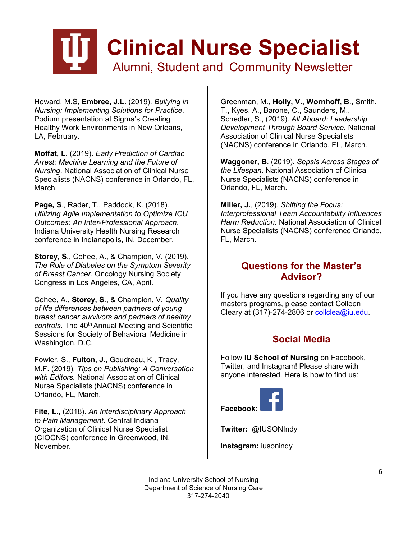# **Clinical Nurse Specialist** Alumni, Student and Community Newsletter

Howard, M.S, **Embree, J.L.** (2019). *Bullying in Nursing: Implementing Solutions for Practice*. Podium presentation at Sigma's Creating Healthy Work Environments in New Orleans, LA, February.

**Moffat, L**. (2019). *Early Prediction of Cardiac Arrest: Machine Learning and the Future of Nursing*. National Association of Clinical Nurse Specialists (NACNS) conference in Orlando, FL, March.

**Page, S**., Rader, T., Paddock, K. (2018). *Utilizing Agile Implementation to Optimize ICU Outcomes: An Inter-Professional Approach*. Indiana University Health Nursing Research conference in Indianapolis, IN, December.

**Storey, S**., Cohee, A., & Champion, V. (2019). *The Role of Diabetes on the Symptom Severity of Breast Cancer*. Oncology Nursing Society Congress in Los Angeles, CA, April.

Cohee, A., **Storey, S**., & Champion, V. *Quality of life differences between partners of young breast cancer survivors and partners of healthy*  controls. The 40<sup>th</sup> Annual Meeting and Scientific Sessions for Society of Behavioral Medicine in Washington, D.C.

Fowler, S., **Fulton, J**., Goudreau, K., Tracy, M.F. (2019). *Tips on Publishing: A Conversation with Editors.* National Association of Clinical Nurse Specialists (NACNS) conference in Orlando, FL, March.

**Fite, L**., (2018). *An Interdisciplinary Approach to Pain Management*. Central Indiana Organization of Clinical Nurse Specialist (CIOCNS) conference in Greenwood, IN, November.

Greenman, M., **Holly, V., Wornhoff, B**., Smith, T., Kyes, A., Barone, C., Saunders, M., Schedler, S., (2019). *All Aboard: Leadership Development Through Board Service.* National Association of Clinical Nurse Specialists (NACNS) conference in Orlando, FL, March.

**Waggoner, B**. (2019). *Sepsis Across Stages of the Lifespan*. National Association of Clinical Nurse Specialists (NACNS) conference in Orlando, FL, March.

**Miller, J.**, (2019). *Shifting the Focus: Interprofessional Team Accountability Influences Harm Reduction*. National Association of Clinical Nurse Specialists (NACNS) conference Orlando, FL, March.

#### **Questions for the Master's Advisor?**

If you have any questions regarding any of our masters programs, please contact Colleen Cleary at (317)-274-2806 or [collclea@iu.edu.](mailto:collclea@iu.edu)

### **Social Media**

Follow **IU School of Nursing** on Facebook, Twitter, and Instagram! Please share with anyone interested. Here is how to find us:



**Twitter:** @IUSONIndy

**Instagram:** iusonindy